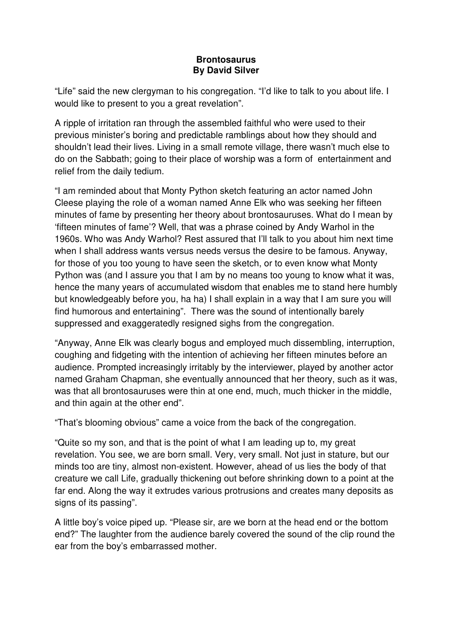## **Brontosaurus By David Silver**

"Life" said the new clergyman to his congregation. "I'd like to talk to you about life. I would like to present to you a great revelation".

A ripple of irritation ran through the assembled faithful who were used to their previous minister's boring and predictable ramblings about how they should and shouldn't lead their lives. Living in a small remote village, there wasn't much else to do on the Sabbath; going to their place of worship was a form of entertainment and relief from the daily tedium.

"I am reminded about that Monty Python sketch featuring an actor named John Cleese playing the role of a woman named Anne Elk who was seeking her fifteen minutes of fame by presenting her theory about brontosauruses. What do I mean by 'fifteen minutes of fame'? Well, that was a phrase coined by Andy Warhol in the 1960s. Who was Andy Warhol? Rest assured that I'll talk to you about him next time when I shall address wants versus needs versus the desire to be famous. Anyway, for those of you too young to have seen the sketch, or to even know what Monty Python was (and I assure you that I am by no means too young to know what it was, hence the many years of accumulated wisdom that enables me to stand here humbly but knowledgeably before you, ha ha) I shall explain in a way that I am sure you will find humorous and entertaining". There was the sound of intentionally barely suppressed and exaggeratedly resigned sighs from the congregation.

"Anyway, Anne Elk was clearly bogus and employed much dissembling, interruption, coughing and fidgeting with the intention of achieving her fifteen minutes before an audience. Prompted increasingly irritably by the interviewer, played by another actor named Graham Chapman, she eventually announced that her theory, such as it was, was that all brontosauruses were thin at one end, much, much thicker in the middle, and thin again at the other end".

"That's blooming obvious" came a voice from the back of the congregation.

"Quite so my son, and that is the point of what I am leading up to, my great revelation. You see, we are born small. Very, very small. Not just in stature, but our minds too are tiny, almost non-existent. However, ahead of us lies the body of that creature we call Life, gradually thickening out before shrinking down to a point at the far end. Along the way it extrudes various protrusions and creates many deposits as signs of its passing".

A little boy's voice piped up. "Please sir, are we born at the head end or the bottom end?" The laughter from the audience barely covered the sound of the clip round the ear from the boy's embarrassed mother.